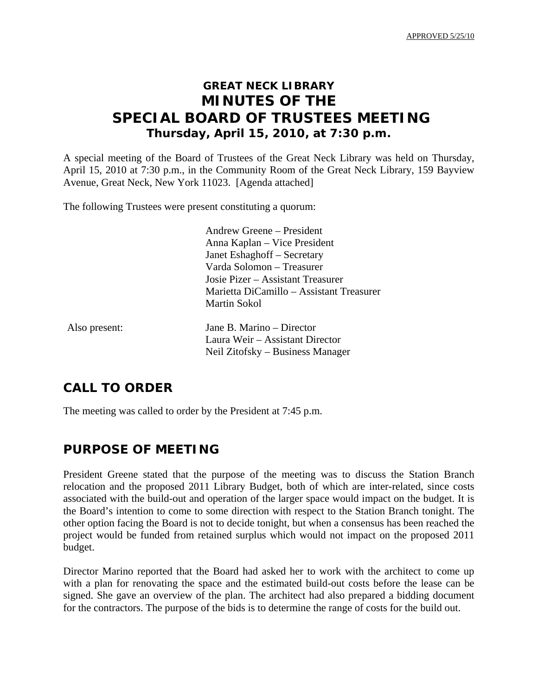APPROVED 5/25/10

# **GREAT NECK LIBRARY MINUTES OF THE SPECIAL BOARD OF TRUSTEES MEETING Thursday, April 15, 2010, at 7:30 p.m.**

A special meeting of the Board of Trustees of the Great Neck Library was held on Thursday, April 15, 2010 at 7:30 p.m., in the Community Room of the Great Neck Library, 159 Bayview Avenue, Great Neck, New York 11023. [Agenda attached]

The following Trustees were present constituting a quorum:

 Andrew Greene – President Anna Kaplan – Vice President Janet Eshaghoff – Secretary Varda Solomon – Treasurer Josie Pizer – Assistant Treasurer Marietta DiCamillo – Assistant Treasurer Martin Sokol

Also present: Jane B. Marino – Director Laura Weir – Assistant Director Neil Zitofsky – Business Manager

## **CALL TO ORDER**

The meeting was called to order by the President at 7:45 p.m.

## **PURPOSE OF MEETING**

President Greene stated that the purpose of the meeting was to discuss the Station Branch relocation and the proposed 2011 Library Budget, both of which are inter-related, since costs associated with the build-out and operation of the larger space would impact on the budget. It is the Board's intention to come to some direction with respect to the Station Branch tonight. The other option facing the Board is not to decide tonight, but when a consensus has been reached the project would be funded from retained surplus which would not impact on the proposed 2011 budget.

Director Marino reported that the Board had asked her to work with the architect to come up with a plan for renovating the space and the estimated build-out costs before the lease can be signed. She gave an overview of the plan. The architect had also prepared a bidding document for the contractors. The purpose of the bids is to determine the range of costs for the build out.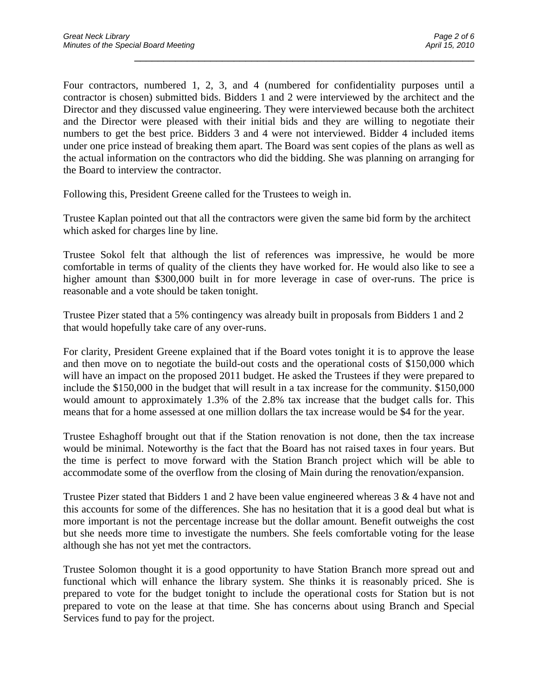Four contractors, numbered 1, 2, 3, and 4 (numbered for confidentiality purposes until a contractor is chosen) submitted bids. Bidders 1 and 2 were interviewed by the architect and the Director and they discussed value engineering. They were interviewed because both the architect and the Director were pleased with their initial bids and they are willing to negotiate their numbers to get the best price. Bidders 3 and 4 were not interviewed. Bidder 4 included items under one price instead of breaking them apart. The Board was sent copies of the plans as well as the actual information on the contractors who did the bidding. She was planning on arranging for the Board to interview the contractor.

\_\_\_\_\_\_\_\_\_\_\_\_\_\_\_\_\_\_\_\_\_\_\_\_\_\_\_\_\_\_\_\_\_\_\_\_\_\_\_\_\_\_\_\_\_\_\_\_\_\_\_\_\_\_\_\_\_\_

Following this, President Greene called for the Trustees to weigh in.

Trustee Kaplan pointed out that all the contractors were given the same bid form by the architect which asked for charges line by line.

Trustee Sokol felt that although the list of references was impressive, he would be more comfortable in terms of quality of the clients they have worked for. He would also like to see a higher amount than \$300,000 built in for more leverage in case of over-runs. The price is reasonable and a vote should be taken tonight.

Trustee Pizer stated that a 5% contingency was already built in proposals from Bidders 1 and 2 that would hopefully take care of any over-runs.

For clarity, President Greene explained that if the Board votes tonight it is to approve the lease and then move on to negotiate the build-out costs and the operational costs of \$150,000 which will have an impact on the proposed 2011 budget. He asked the Trustees if they were prepared to include the \$150,000 in the budget that will result in a tax increase for the community. \$150,000 would amount to approximately 1.3% of the 2.8% tax increase that the budget calls for. This means that for a home assessed at one million dollars the tax increase would be \$4 for the year.

Trustee Eshaghoff brought out that if the Station renovation is not done, then the tax increase would be minimal. Noteworthy is the fact that the Board has not raised taxes in four years. But the time is perfect to move forward with the Station Branch project which will be able to accommodate some of the overflow from the closing of Main during the renovation/expansion.

Trustee Pizer stated that Bidders 1 and 2 have been value engineered whereas 3 & 4 have not and this accounts for some of the differences. She has no hesitation that it is a good deal but what is more important is not the percentage increase but the dollar amount. Benefit outweighs the cost but she needs more time to investigate the numbers. She feels comfortable voting for the lease although she has not yet met the contractors.

Trustee Solomon thought it is a good opportunity to have Station Branch more spread out and functional which will enhance the library system. She thinks it is reasonably priced. She is prepared to vote for the budget tonight to include the operational costs for Station but is not prepared to vote on the lease at that time. She has concerns about using Branch and Special Services fund to pay for the project.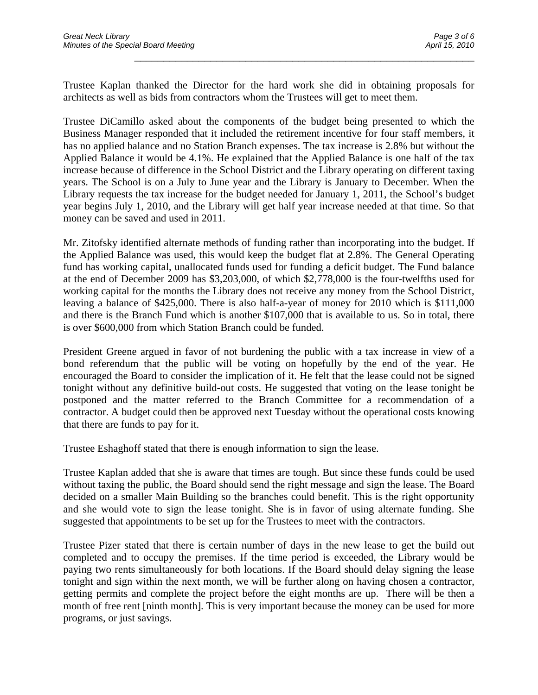Trustee Kaplan thanked the Director for the hard work she did in obtaining proposals for architects as well as bids from contractors whom the Trustees will get to meet them.

\_\_\_\_\_\_\_\_\_\_\_\_\_\_\_\_\_\_\_\_\_\_\_\_\_\_\_\_\_\_\_\_\_\_\_\_\_\_\_\_\_\_\_\_\_\_\_\_\_\_\_\_\_\_\_\_\_\_

Trustee DiCamillo asked about the components of the budget being presented to which the Business Manager responded that it included the retirement incentive for four staff members, it has no applied balance and no Station Branch expenses. The tax increase is 2.8% but without the Applied Balance it would be 4.1%. He explained that the Applied Balance is one half of the tax increase because of difference in the School District and the Library operating on different taxing years. The School is on a July to June year and the Library is January to December. When the Library requests the tax increase for the budget needed for January 1, 2011, the School's budget year begins July 1, 2010, and the Library will get half year increase needed at that time. So that money can be saved and used in 2011.

Mr. Zitofsky identified alternate methods of funding rather than incorporating into the budget. If the Applied Balance was used, this would keep the budget flat at 2.8%. The General Operating fund has working capital, unallocated funds used for funding a deficit budget. The Fund balance at the end of December 2009 has \$3,203,000, of which \$2,778,000 is the four-twelfths used for working capital for the months the Library does not receive any money from the School District, leaving a balance of \$425,000. There is also half-a-year of money for 2010 which is \$111,000 and there is the Branch Fund which is another \$107,000 that is available to us. So in total, there is over \$600,000 from which Station Branch could be funded.

President Greene argued in favor of not burdening the public with a tax increase in view of a bond referendum that the public will be voting on hopefully by the end of the year. He encouraged the Board to consider the implication of it. He felt that the lease could not be signed tonight without any definitive build-out costs. He suggested that voting on the lease tonight be postponed and the matter referred to the Branch Committee for a recommendation of a contractor. A budget could then be approved next Tuesday without the operational costs knowing that there are funds to pay for it.

Trustee Eshaghoff stated that there is enough information to sign the lease.

Trustee Kaplan added that she is aware that times are tough. But since these funds could be used without taxing the public, the Board should send the right message and sign the lease. The Board decided on a smaller Main Building so the branches could benefit. This is the right opportunity and she would vote to sign the lease tonight. She is in favor of using alternate funding. She suggested that appointments to be set up for the Trustees to meet with the contractors.

Trustee Pizer stated that there is certain number of days in the new lease to get the build out completed and to occupy the premises. If the time period is exceeded, the Library would be paying two rents simultaneously for both locations. If the Board should delay signing the lease tonight and sign within the next month, we will be further along on having chosen a contractor, getting permits and complete the project before the eight months are up. There will be then a month of free rent [ninth month]. This is very important because the money can be used for more programs, or just savings.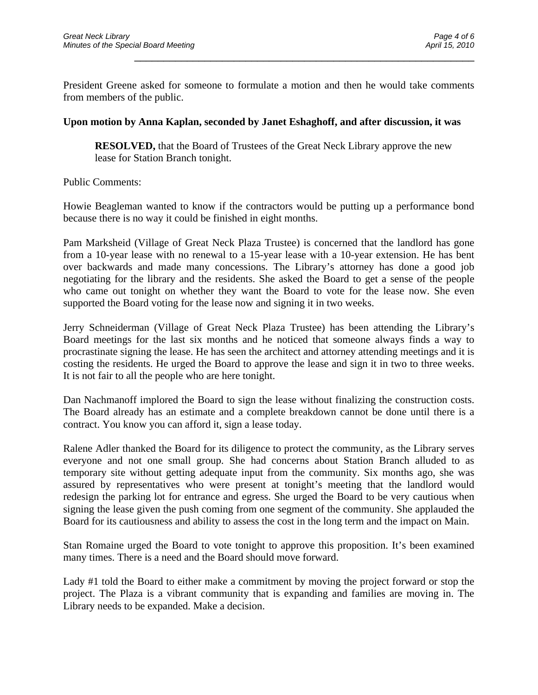President Greene asked for someone to formulate a motion and then he would take comments from members of the public.

\_\_\_\_\_\_\_\_\_\_\_\_\_\_\_\_\_\_\_\_\_\_\_\_\_\_\_\_\_\_\_\_\_\_\_\_\_\_\_\_\_\_\_\_\_\_\_\_\_\_\_\_\_\_\_\_\_\_

#### **Upon motion by Anna Kaplan, seconded by Janet Eshaghoff, and after discussion, it was**

**RESOLVED,** that the Board of Trustees of the Great Neck Library approve the new lease for Station Branch tonight.

Public Comments:

Howie Beagleman wanted to know if the contractors would be putting up a performance bond because there is no way it could be finished in eight months.

Pam Marksheid (Village of Great Neck Plaza Trustee) is concerned that the landlord has gone from a 10-year lease with no renewal to a 15-year lease with a 10-year extension. He has bent over backwards and made many concessions. The Library's attorney has done a good job negotiating for the library and the residents. She asked the Board to get a sense of the people who came out tonight on whether they want the Board to vote for the lease now. She even supported the Board voting for the lease now and signing it in two weeks.

Jerry Schneiderman (Village of Great Neck Plaza Trustee) has been attending the Library's Board meetings for the last six months and he noticed that someone always finds a way to procrastinate signing the lease. He has seen the architect and attorney attending meetings and it is costing the residents. He urged the Board to approve the lease and sign it in two to three weeks. It is not fair to all the people who are here tonight.

Dan Nachmanoff implored the Board to sign the lease without finalizing the construction costs. The Board already has an estimate and a complete breakdown cannot be done until there is a contract. You know you can afford it, sign a lease today.

Ralene Adler thanked the Board for its diligence to protect the community, as the Library serves everyone and not one small group. She had concerns about Station Branch alluded to as temporary site without getting adequate input from the community. Six months ago, she was assured by representatives who were present at tonight's meeting that the landlord would redesign the parking lot for entrance and egress. She urged the Board to be very cautious when signing the lease given the push coming from one segment of the community. She applauded the Board for its cautiousness and ability to assess the cost in the long term and the impact on Main.

Stan Romaine urged the Board to vote tonight to approve this proposition. It's been examined many times. There is a need and the Board should move forward.

Lady #1 told the Board to either make a commitment by moving the project forward or stop the project. The Plaza is a vibrant community that is expanding and families are moving in. The Library needs to be expanded. Make a decision.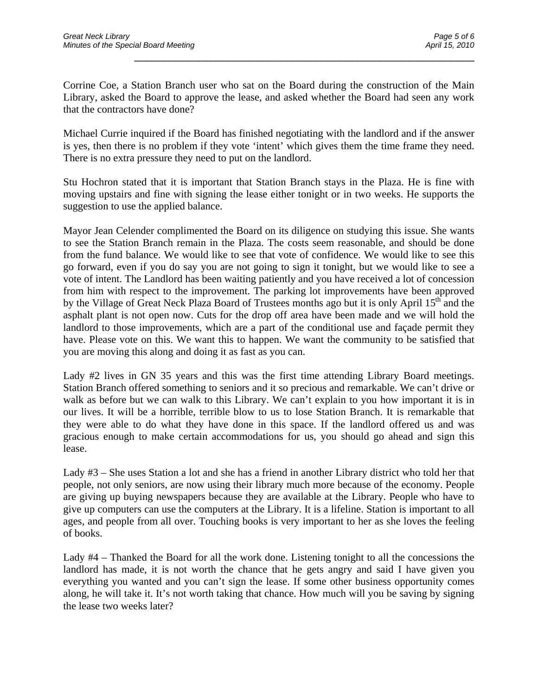Corrine Coe, a Station Branch user who sat on the Board during the construction of the Main Library, asked the Board to approve the lease, and asked whether the Board had seen any work that the contractors have done?

\_\_\_\_\_\_\_\_\_\_\_\_\_\_\_\_\_\_\_\_\_\_\_\_\_\_\_\_\_\_\_\_\_\_\_\_\_\_\_\_\_\_\_\_\_\_\_\_\_\_\_\_\_\_\_\_\_\_

Michael Currie inquired if the Board has finished negotiating with the landlord and if the answer is yes, then there is no problem if they vote 'intent' which gives them the time frame they need. There is no extra pressure they need to put on the landlord.

Stu Hochron stated that it is important that Station Branch stays in the Plaza. He is fine with moving upstairs and fine with signing the lease either tonight or in two weeks. He supports the suggestion to use the applied balance.

Mayor Jean Celender complimented the Board on its diligence on studying this issue. She wants to see the Station Branch remain in the Plaza. The costs seem reasonable, and should be done from the fund balance. We would like to see that vote of confidence. We would like to see this go forward, even if you do say you are not going to sign it tonight, but we would like to see a vote of intent. The Landlord has been waiting patiently and you have received a lot of concession from him with respect to the improvement. The parking lot improvements have been approved by the Village of Great Neck Plaza Board of Trustees months ago but it is only April 15<sup>th</sup> and the asphalt plant is not open now. Cuts for the drop off area have been made and we will hold the landlord to those improvements, which are a part of the conditional use and façade permit they have. Please vote on this. We want this to happen. We want the community to be satisfied that you are moving this along and doing it as fast as you can.

Lady #2 lives in GN 35 years and this was the first time attending Library Board meetings. Station Branch offered something to seniors and it so precious and remarkable. We can't drive or walk as before but we can walk to this Library. We can't explain to you how important it is in our lives. It will be a horrible, terrible blow to us to lose Station Branch. It is remarkable that they were able to do what they have done in this space. If the landlord offered us and was gracious enough to make certain accommodations for us, you should go ahead and sign this lease.

Lady #3 – She uses Station a lot and she has a friend in another Library district who told her that people, not only seniors, are now using their library much more because of the economy. People are giving up buying newspapers because they are available at the Library. People who have to give up computers can use the computers at the Library. It is a lifeline. Station is important to all ages, and people from all over. Touching books is very important to her as she loves the feeling of books.

Lady #4 – Thanked the Board for all the work done. Listening tonight to all the concessions the landlord has made, it is not worth the chance that he gets angry and said I have given you everything you wanted and you can't sign the lease. If some other business opportunity comes along, he will take it. It's not worth taking that chance. How much will you be saving by signing the lease two weeks later?